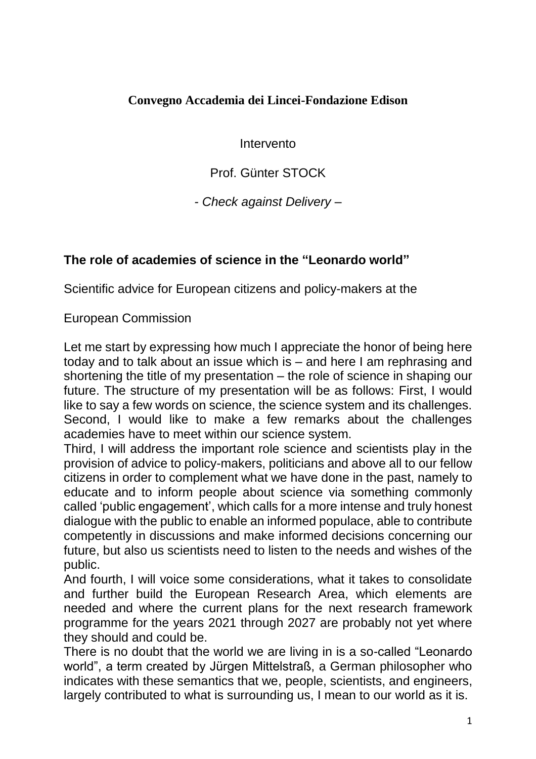## **Convegno Accademia dei Lincei-Fondazione Edison**

Intervento

Prof. Günter STOCK

*- Check against Delivery –*

## **The role of academies of science in the "Leonardo world"**

Scientific advice for European citizens and policy-makers at the

European Commission

Let me start by expressing how much I appreciate the honor of being here today and to talk about an issue which is – and here I am rephrasing and shortening the title of my presentation – the role of science in shaping our future. The structure of my presentation will be as follows: First, I would like to say a few words on science, the science system and its challenges. Second, I would like to make a few remarks about the challenges academies have to meet within our science system.

Third, I will address the important role science and scientists play in the provision of advice to policy-makers, politicians and above all to our fellow citizens in order to complement what we have done in the past, namely to educate and to inform people about science via something commonly called 'public engagement', which calls for a more intense and truly honest dialogue with the public to enable an informed populace, able to contribute competently in discussions and make informed decisions concerning our future, but also us scientists need to listen to the needs and wishes of the public.

And fourth, I will voice some considerations, what it takes to consolidate and further build the European Research Area, which elements are needed and where the current plans for the next research framework programme for the years 2021 through 2027 are probably not yet where they should and could be.

There is no doubt that the world we are living in is a so-called "Leonardo world", a term created by Jürgen Mittelstraß, a German philosopher who indicates with these semantics that we, people, scientists, and engineers, largely contributed to what is surrounding us, I mean to our world as it is.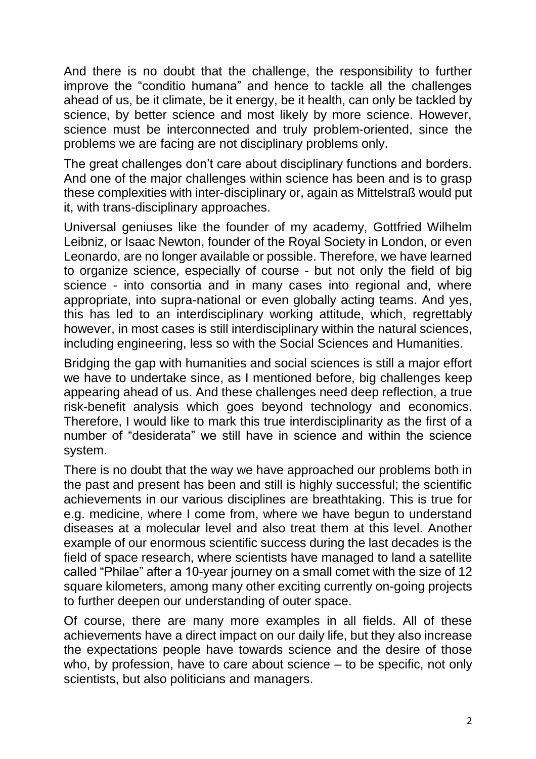And there is no doubt that the challenge, the responsibility to further improve the "conditio humana" and hence to tackle all the challenges ahead of us, be it climate, be it energy, be it health, can only be tackled by science, by better science and most likely by more science. However, science must be interconnected and truly problem-oriented, since the problems we are facing are not disciplinary problems only.

The great challenges don't care about disciplinary functions and borders. And one of the major challenges within science has been and is to grasp these complexities with inter-disciplinary or, again as Mittelstraß would put it, with trans-disciplinary approaches.

Universal geniuses like the founder of my academy, Gottfried Wilhelm Leibniz, or Isaac Newton, founder of the Royal Society in London, or even Leonardo, are no longer available or possible. Therefore, we have learned to organize science, especially of course - but not only the field of big science - into consortia and in many cases into regional and, where appropriate, into supra-national or even globally acting teams. And yes, this has led to an interdisciplinary working attitude, which, regrettably however, in most cases is still interdisciplinary within the natural sciences, including engineering, less so with the Social Sciences and Humanities.

Bridging the gap with humanities and social sciences is still a major effort we have to undertake since, as I mentioned before, big challenges keep appearing ahead of us. And these challenges need deep reflection, a true risk-benefit analysis which goes beyond technology and economics. Therefore, I would like to mark this true interdisciplinarity as the first of a number of "desiderata" we still have in science and within the science system.

There is no doubt that the way we have approached our problems both in the past and present has been and still is highly successful; the scientific achievements in our various disciplines are breathtaking. This is true for e.g. medicine, where I come from, where we have begun to understand diseases at a molecular level and also treat them at this level. Another example of our enormous scientific success during the last decades is the field of space research, where scientists have managed to land a satellite called "Philae" after a 10-year journey on a small comet with the size of 12 square kilometers, among many other exciting currently on-going projects to further deepen our understanding of outer space.

Of course, there are many more examples in all fields. All of these achievements have a direct impact on our daily life, but they also increase the expectations people have towards science and the desire of those who, by profession, have to care about science – to be specific, not only scientists, but also politicians and managers.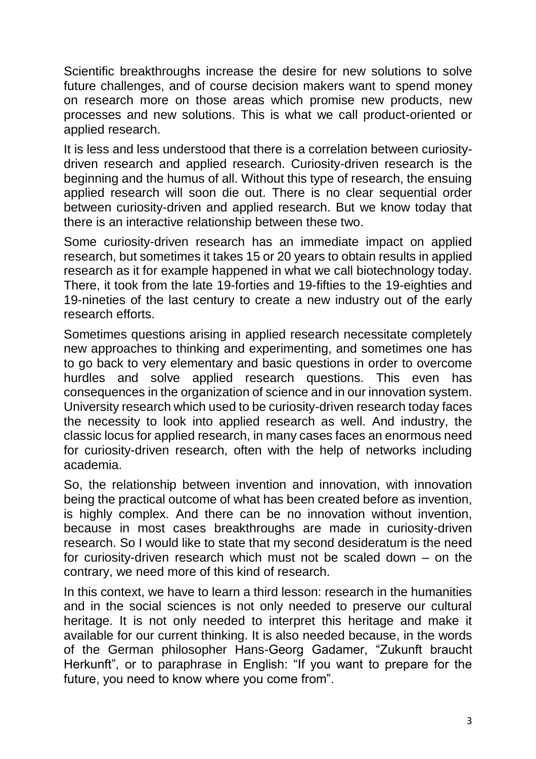Scientific breakthroughs increase the desire for new solutions to solve future challenges, and of course decision makers want to spend money on research more on those areas which promise new products, new processes and new solutions. This is what we call product-oriented or applied research.

It is less and less understood that there is a correlation between curiositydriven research and applied research. Curiosity-driven research is the beginning and the humus of all. Without this type of research, the ensuing applied research will soon die out. There is no clear sequential order between curiosity-driven and applied research. But we know today that there is an interactive relationship between these two.

Some curiosity-driven research has an immediate impact on applied research, but sometimes it takes 15 or 20 years to obtain results in applied research as it for example happened in what we call biotechnology today. There, it took from the late 19-forties and 19-fifties to the 19-eighties and 19-nineties of the last century to create a new industry out of the early research efforts.

Sometimes questions arising in applied research necessitate completely new approaches to thinking and experimenting, and sometimes one has to go back to very elementary and basic questions in order to overcome hurdles and solve applied research questions. This even has consequences in the organization of science and in our innovation system. University research which used to be curiosity-driven research today faces the necessity to look into applied research as well. And industry, the classic locus for applied research, in many cases faces an enormous need for curiosity-driven research, often with the help of networks including academia.

So, the relationship between invention and innovation, with innovation being the practical outcome of what has been created before as invention, is highly complex. And there can be no innovation without invention, because in most cases breakthroughs are made in curiosity-driven research. So I would like to state that my second desideratum is the need for curiosity-driven research which must not be scaled down – on the contrary, we need more of this kind of research.

In this context, we have to learn a third lesson: research in the humanities and in the social sciences is not only needed to preserve our cultural heritage. It is not only needed to interpret this heritage and make it available for our current thinking. It is also needed because, in the words of the German philosopher Hans-Georg Gadamer, "Zukunft braucht Herkunft", or to paraphrase in English: "If you want to prepare for the future, you need to know where you come from".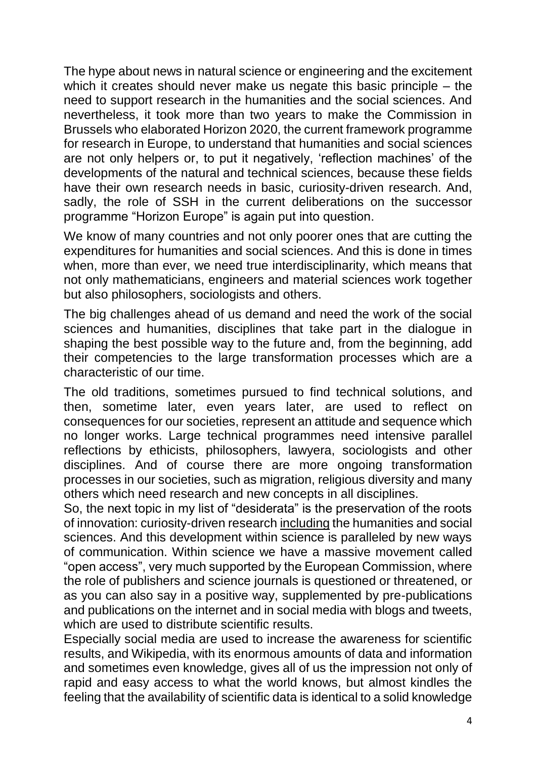The hype about news in natural science or engineering and the excitement which it creates should never make us negate this basic principle – the need to support research in the humanities and the social sciences. And nevertheless, it took more than two years to make the Commission in Brussels who elaborated Horizon 2020, the current framework programme for research in Europe, to understand that humanities and social sciences are not only helpers or, to put it negatively, 'reflection machines' of the developments of the natural and technical sciences, because these fields have their own research needs in basic, curiosity-driven research. And, sadly, the role of SSH in the current deliberations on the successor programme "Horizon Europe" is again put into question.

We know of many countries and not only poorer ones that are cutting the expenditures for humanities and social sciences. And this is done in times when, more than ever, we need true interdisciplinarity, which means that not only mathematicians, engineers and material sciences work together but also philosophers, sociologists and others.

The big challenges ahead of us demand and need the work of the social sciences and humanities, disciplines that take part in the dialogue in shaping the best possible way to the future and, from the beginning, add their competencies to the large transformation processes which are a characteristic of our time.

The old traditions, sometimes pursued to find technical solutions, and then, sometime later, even years later, are used to reflect on consequences for our societies, represent an attitude and sequence which no longer works. Large technical programmes need intensive parallel reflections by ethicists, philosophers, lawyera, sociologists and other disciplines. And of course there are more ongoing transformation processes in our societies, such as migration, religious diversity and many others which need research and new concepts in all disciplines.

So, the next topic in my list of "desiderata" is the preservation of the roots of innovation: curiosity-driven research including the humanities and social sciences. And this development within science is paralleled by new ways of communication. Within science we have a massive movement called "open access", very much supported by the European Commission, where the role of publishers and science journals is questioned or threatened, or as you can also say in a positive way, supplemented by pre-publications and publications on the internet and in social media with blogs and tweets, which are used to distribute scientific results.

Especially social media are used to increase the awareness for scientific results, and Wikipedia, with its enormous amounts of data and information and sometimes even knowledge, gives all of us the impression not only of rapid and easy access to what the world knows, but almost kindles the feeling that the availability of scientific data is identical to a solid knowledge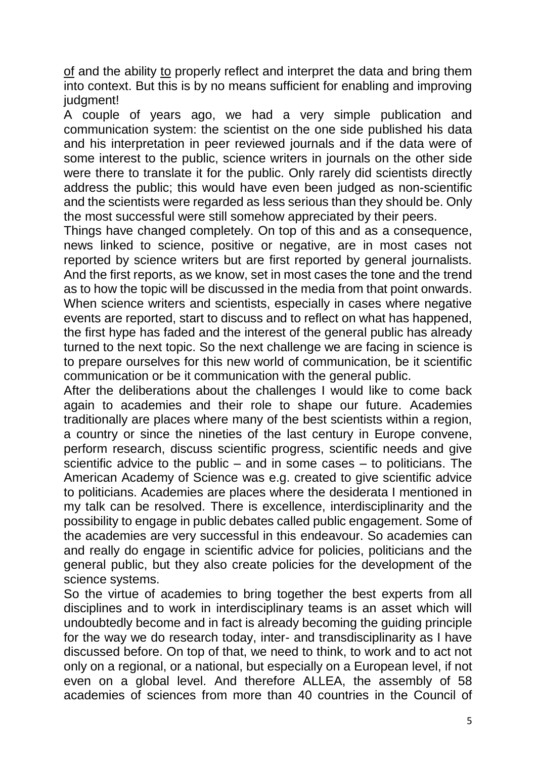of and the ability to properly reflect and interpret the data and bring them into context. But this is by no means sufficient for enabling and improving judgment!

A couple of years ago, we had a very simple publication and communication system: the scientist on the one side published his data and his interpretation in peer reviewed journals and if the data were of some interest to the public, science writers in journals on the other side were there to translate it for the public. Only rarely did scientists directly address the public; this would have even been judged as non-scientific and the scientists were regarded as less serious than they should be. Only the most successful were still somehow appreciated by their peers.

Things have changed completely. On top of this and as a consequence, news linked to science, positive or negative, are in most cases not reported by science writers but are first reported by general journalists. And the first reports, as we know, set in most cases the tone and the trend as to how the topic will be discussed in the media from that point onwards. When science writers and scientists, especially in cases where negative events are reported, start to discuss and to reflect on what has happened, the first hype has faded and the interest of the general public has already turned to the next topic. So the next challenge we are facing in science is to prepare ourselves for this new world of communication, be it scientific communication or be it communication with the general public.

After the deliberations about the challenges I would like to come back again to academies and their role to shape our future. Academies traditionally are places where many of the best scientists within a region, a country or since the nineties of the last century in Europe convene, perform research, discuss scientific progress, scientific needs and give scientific advice to the public – and in some cases – to politicians. The American Academy of Science was e.g. created to give scientific advice to politicians. Academies are places where the desiderata I mentioned in my talk can be resolved. There is excellence, interdisciplinarity and the possibility to engage in public debates called public engagement. Some of the academies are very successful in this endeavour. So academies can and really do engage in scientific advice for policies, politicians and the general public, but they also create policies for the development of the science systems.

So the virtue of academies to bring together the best experts from all disciplines and to work in interdisciplinary teams is an asset which will undoubtedly become and in fact is already becoming the guiding principle for the way we do research today, inter- and transdisciplinarity as I have discussed before. On top of that, we need to think, to work and to act not only on a regional, or a national, but especially on a European level, if not even on a global level. And therefore ALLEA, the assembly of 58 academies of sciences from more than 40 countries in the Council of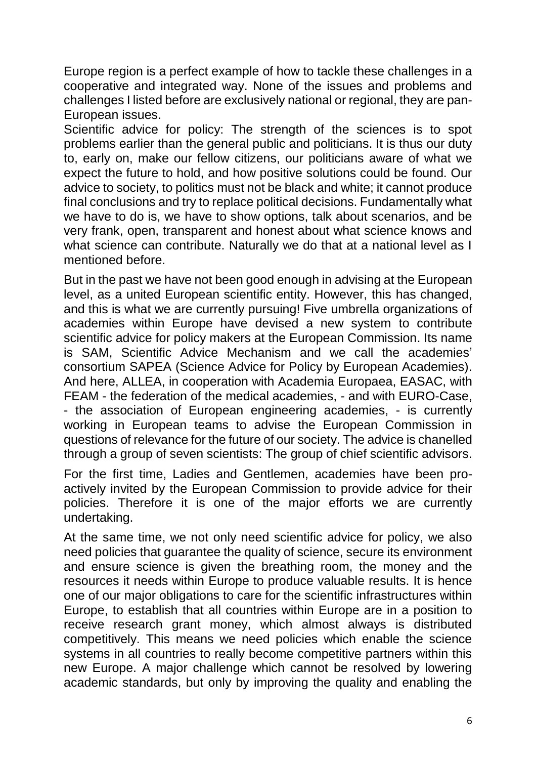Europe region is a perfect example of how to tackle these challenges in a cooperative and integrated way. None of the issues and problems and challenges I listed before are exclusively national or regional, they are pan-European issues.

Scientific advice for policy: The strength of the sciences is to spot problems earlier than the general public and politicians. It is thus our duty to, early on, make our fellow citizens, our politicians aware of what we expect the future to hold, and how positive solutions could be found. Our advice to society, to politics must not be black and white; it cannot produce final conclusions and try to replace political decisions. Fundamentally what we have to do is, we have to show options, talk about scenarios, and be very frank, open, transparent and honest about what science knows and what science can contribute. Naturally we do that at a national level as I mentioned before.

But in the past we have not been good enough in advising at the European level, as a united European scientific entity. However, this has changed, and this is what we are currently pursuing! Five umbrella organizations of academies within Europe have devised a new system to contribute scientific advice for policy makers at the European Commission. Its name is SAM, Scientific Advice Mechanism and we call the academies' consortium SAPEA (Science Advice for Policy by European Academies). And here, ALLEA, in cooperation with Academia Europaea, EASAC, with FEAM - the federation of the medical academies, - and with EURO-Case, - the association of European engineering academies, - is currently working in European teams to advise the European Commission in questions of relevance for the future of our society. The advice is chanelled through a group of seven scientists: The group of chief scientific advisors.

For the first time, Ladies and Gentlemen, academies have been proactively invited by the European Commission to provide advice for their policies. Therefore it is one of the major efforts we are currently undertaking.

At the same time, we not only need scientific advice for policy, we also need policies that guarantee the quality of science, secure its environment and ensure science is given the breathing room, the money and the resources it needs within Europe to produce valuable results. It is hence one of our major obligations to care for the scientific infrastructures within Europe, to establish that all countries within Europe are in a position to receive research grant money, which almost always is distributed competitively. This means we need policies which enable the science systems in all countries to really become competitive partners within this new Europe. A major challenge which cannot be resolved by lowering academic standards, but only by improving the quality and enabling the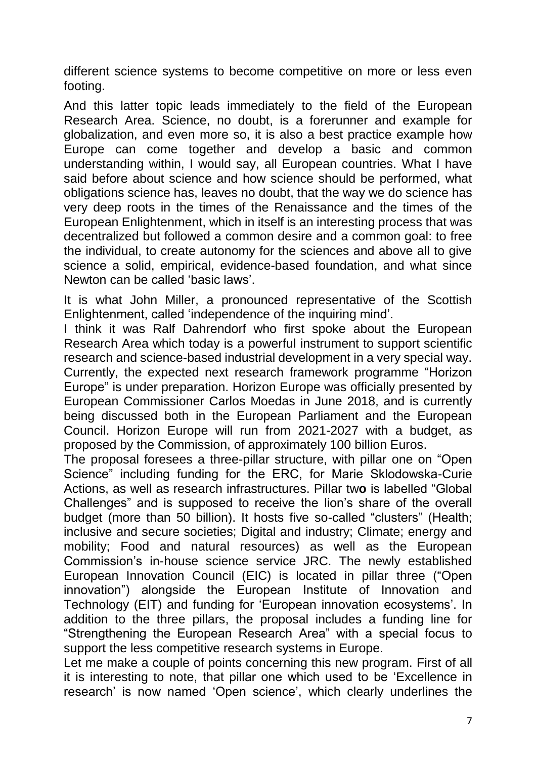different science systems to become competitive on more or less even footing.

And this latter topic leads immediately to the field of the European Research Area. Science, no doubt, is a forerunner and example for globalization, and even more so, it is also a best practice example how Europe can come together and develop a basic and common understanding within, I would say, all European countries. What I have said before about science and how science should be performed, what obligations science has, leaves no doubt, that the way we do science has very deep roots in the times of the Renaissance and the times of the European Enlightenment, which in itself is an interesting process that was decentralized but followed a common desire and a common goal: to free the individual, to create autonomy for the sciences and above all to give science a solid, empirical, evidence-based foundation, and what since Newton can be called 'basic laws'.

It is what John Miller, a pronounced representative of the Scottish Enlightenment, called 'independence of the inquiring mind'.

I think it was Ralf Dahrendorf who first spoke about the European Research Area which today is a powerful instrument to support scientific research and science-based industrial development in a very special way. Currently, the expected next research framework programme "Horizon Europe" is under preparation. Horizon Europe was officially presented by European Commissioner Carlos Moedas in June 2018, and is currently being discussed both in the European Parliament and the European Council. Horizon Europe will run from 2021-2027 with a budget, as proposed by the Commission, of approximately 100 billion Euros.

The proposal foresees a three-pillar structure, with pillar one on "Open Science" including funding for the ERC, for Marie Sklodowska-Curie Actions, as well as research infrastructures. Pillar tw**o** is labelled "Global Challenges" and is supposed to receive the lion's share of the overall budget (more than 50 billion). It hosts five so-called "clusters" (Health; inclusive and secure societies; Digital and industry; Climate; energy and mobility; Food and natural resources) as well as the European Commission's in-house science service JRC. The newly established European Innovation Council (EIC) is located in pillar three ("Open innovation") alongside the European Institute of Innovation and Technology (EIT) and funding for 'European innovation ecosystems'. In addition to the three pillars, the proposal includes a funding line for "Strengthening the European Research Area" with a special focus to support the less competitive research systems in Europe.

Let me make a couple of points concerning this new program. First of all it is interesting to note, that pillar one which used to be 'Excellence in research' is now named 'Open science', which clearly underlines the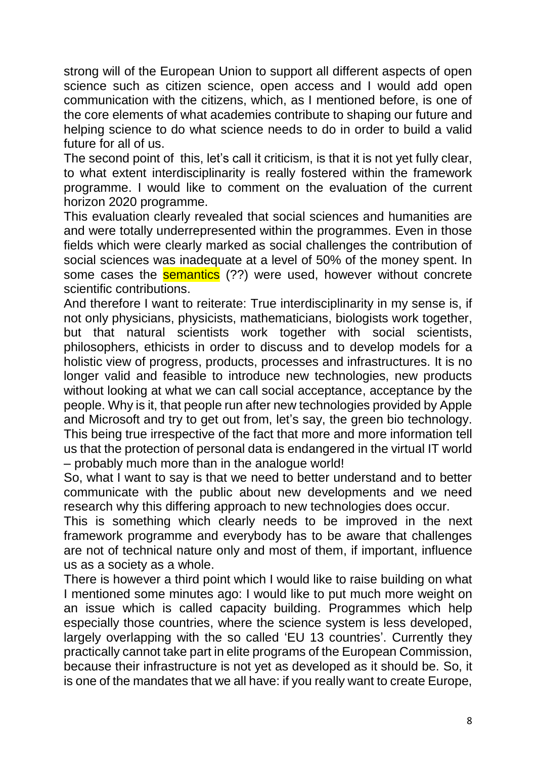strong will of the European Union to support all different aspects of open science such as citizen science, open access and I would add open communication with the citizens, which, as I mentioned before, is one of the core elements of what academies contribute to shaping our future and helping science to do what science needs to do in order to build a valid future for all of us.

The second point of this, let's call it criticism, is that it is not yet fully clear, to what extent interdisciplinarity is really fostered within the framework programme. I would like to comment on the evaluation of the current horizon 2020 programme.

This evaluation clearly revealed that social sciences and humanities are and were totally underrepresented within the programmes. Even in those fields which were clearly marked as social challenges the contribution of social sciences was inadequate at a level of 50% of the money spent. In some cases the **semantics** (??) were used, however without concrete scientific contributions.

And therefore I want to reiterate: True interdisciplinarity in my sense is, if not only physicians, physicists, mathematicians, biologists work together, but that natural scientists work together with social scientists, philosophers, ethicists in order to discuss and to develop models for a holistic view of progress, products, processes and infrastructures. It is no longer valid and feasible to introduce new technologies, new products without looking at what we can call social acceptance, acceptance by the people. Why is it, that people run after new technologies provided by Apple and Microsoft and try to get out from, let's say, the green bio technology. This being true irrespective of the fact that more and more information tell us that the protection of personal data is endangered in the virtual IT world – probably much more than in the analogue world!

So, what I want to say is that we need to better understand and to better communicate with the public about new developments and we need research why this differing approach to new technologies does occur.

This is something which clearly needs to be improved in the next framework programme and everybody has to be aware that challenges are not of technical nature only and most of them, if important, influence us as a society as a whole.

There is however a third point which I would like to raise building on what I mentioned some minutes ago: I would like to put much more weight on an issue which is called capacity building. Programmes which help especially those countries, where the science system is less developed, largely overlapping with the so called 'EU 13 countries'. Currently they practically cannot take part in elite programs of the European Commission, because their infrastructure is not yet as developed as it should be. So, it is one of the mandates that we all have: if you really want to create Europe,